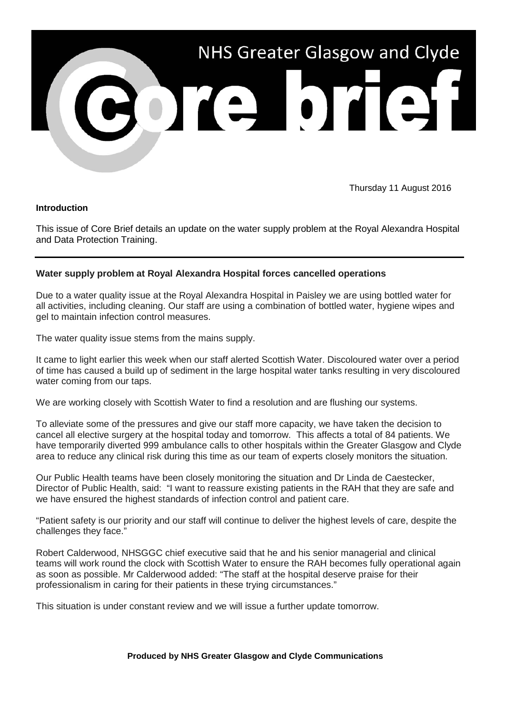

Thursday 11 August 2016

## **Introduction**

This issue of Core Brief details an update on the water supply problem at the Royal Alexandra Hospital and Data Protection Training.

## **Water supply problem at Royal Alexandra Hospital forces cancelled operations**

Due to a water quality issue at the Royal Alexandra Hospital in Paisley we are using bottled water for all activities, including cleaning. Our staff are using a combination of bottled water, hygiene wipes and gel to maintain infection control measures.

The water quality issue stems from the mains supply.

It came to light earlier this week when our staff alerted Scottish Water. Discoloured water over a period of time has caused a build up of sediment in the large hospital water tanks resulting in very discoloured water coming from our taps.

We are working closely with Scottish Water to find a resolution and are flushing our systems.

To alleviate some of the pressures and give our staff more capacity, we have taken the decision to cancel all elective surgery at the hospital today and tomorrow. This affects a total of 84 patients. We have temporarily diverted 999 ambulance calls to other hospitals within the Greater Glasgow and Clyde area to reduce any clinical risk during this time as our team of experts closely monitors the situation.

Our Public Health teams have been closely monitoring the situation and Dr Linda de Caestecker, Director of Public Health, said: "I want to reassure existing patients in the RAH that they are safe and we have ensured the highest standards of infection control and patient care.

"Patient safety is our priority and our staff will continue to deliver the highest levels of care, despite the challenges they face."

Robert Calderwood, NHSGGC chief executive said that he and his senior managerial and clinical teams will work round the clock with Scottish Water to ensure the RAH becomes fully operational again as soon as possible. Mr Calderwood added: "The staff at the hospital deserve praise for their professionalism in caring for their patients in these trying circumstances."

This situation is under constant review and we will issue a further update tomorrow.